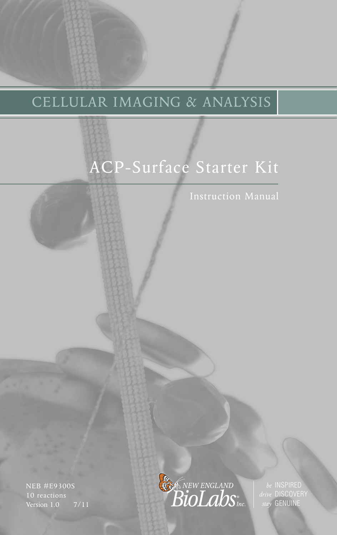# CELLULAR IMAGING & ANALYSIS

# ACP-Surface Starter Kit

NEB #E9300S Version 1.0 7/11



*drive* DISCOVERY *stay* GENUINE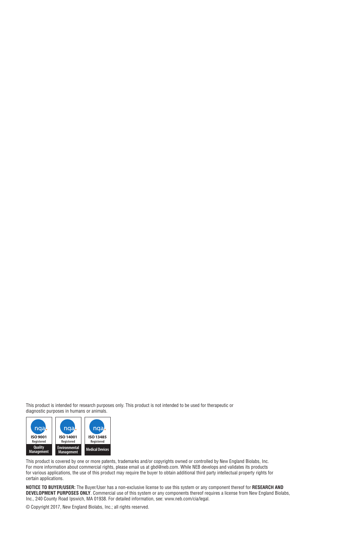This product is intended for research purposes only. This product is not intended to be used for therapeutic or diagnostic purposes in humans or animals.



This product is covered by one or more patents, trademarks and/or copyrights owned or controlled by New England Biolabs, Inc. For more information about commercial rights, please email us at gbd@neb.com. While NEB develops and validates its products for various applications, the use of this product may require the buyer to obtain additional third party intellectual property rights for certain applications.

**NOTICE TO BUYER/USER:** The Buyer/User has a non-exclusive license to use this system or any component thereof for **RESEARCH AND DEVELOPMENT PURPOSES ONLY**. Commercial use of this system or any components thereof requires a license from New England Biolabs, Inc., 240 County Road Ipswich, MA 01938. For detailed information, see: www.neb.com/cia/legal.

© Copyright 2017, New England Biolabs, Inc.; all rights reserved.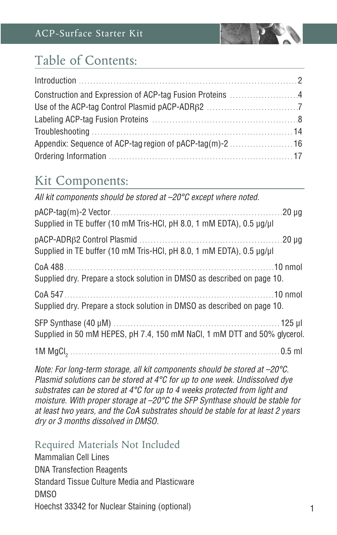

## Table of Contents:

## Kit Components:

| All kit components should be stored at $-20^{\circ}$ C except where noted. |  |
|----------------------------------------------------------------------------|--|
| Supplied in TE buffer (10 mM Tris-HCl, pH 8.0, 1 mM EDTA), 0.5 µg/µl       |  |
| Supplied in TE buffer (10 mM Tris-HCl, pH 8.0, 1 mM EDTA), 0.5 µg/µl       |  |
| Supplied dry. Prepare a stock solution in DMSO as described on page 10.    |  |
| Supplied dry. Prepare a stock solution in DMSO as described on page 10.    |  |
| Supplied in 50 mM HEPES, pH 7.4, 150 mM NaCl, 1 mM DTT and 50% glycerol.   |  |
|                                                                            |  |

*Note: For long-term storage, all kit components should be stored at –20°C. Plasmid solutions can be stored at 4°C for up to one week. Undissolved dye substrates can be stored at 4°C for up to 4 weeks protected from light and moisture. With proper storage at –20°C the SFP Synthase should be stable for at least two years, and the CoA substrates should be stable for at least 2 years dry or 3 months dissolved in DMSO.*

### Required Materials Not Included

Mammalian Cell Lines DNA Transfection Reagents Standard Tissue Culture Media and Plasticware DMSO Hoechst 33342 for Nuclear Staining (optional)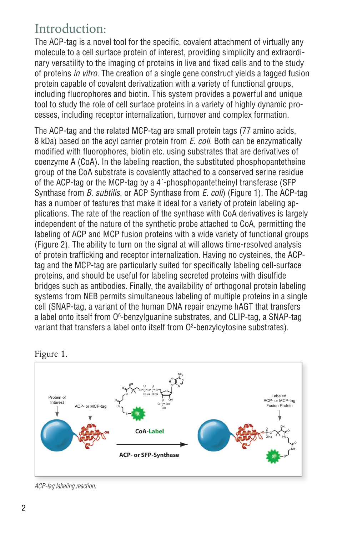## Introduction:

The ACP-tag is a novel tool for the specific, covalent attachment of virtually any molecule to a cell surface protein of interest, providing simplicity and extraordinary versatility to the imaging of proteins in live and fixed cells and to the study of proteins *in vitro*. The creation of a single gene construct yields a tagged fusion protein capable of covalent derivatization with a variety of functional groups, including fluorophores and biotin. This system provides a powerful and unique tool to study the role of cell surface proteins in a variety of highly dynamic processes, including receptor internalization, turnover and complex formation.

The ACP-tag and the related MCP-tag are small protein tags (77 amino acids, 8 kDa) based on the acyl carrier protein from *E. coli*. Both can be enzymatically modified with fluorophores, biotin etc. using substrates that are derivatives of coenzyme A (CoA). In the labeling reaction, the substituted phosphopantetheine group of the CoA substrate is covalently attached to a conserved serine residue of the ACP-tag or the MCP-tag by a 4´-phosphopantetheinyl transferase (SFP Synthase from *B. subtilis*, or ACP Synthase from *E. coli*) (Figure 1). The ACP-tag has a number of features that make it ideal for a variety of protein labeling applications. The rate of the reaction of the synthase with CoA derivatives is largely independent of the nature of the synthetic probe attached to CoA, permitting the labeling of ACP and MCP fusion proteins with a wide variety of functional groups (Figure 2). The ability to turn on the signal at will allows time-resolved analysis of protein trafficking and receptor internalization. Having no cysteines, the ACPtag and the MCP-tag are particularly suited for specifically labeling cell-surface proteins, and should be useful for labeling secreted proteins with disulfide bridges such as antibodies. Finally, the availability of orthogonal protein labeling systems from NEB permits simultaneous labeling of multiple proteins in a single cell (SNAP-tag, a variant of the human DNA repair enzyme hAGT that transfers a label onto itself from O<sup>6</sup>-benzylguanine substrates, and CLIP-tag, a SNAP-tag variant that transfers a label onto itself from O<sup>2</sup>-benzylcytosine substrates).





*ACP-tag labeling reaction.*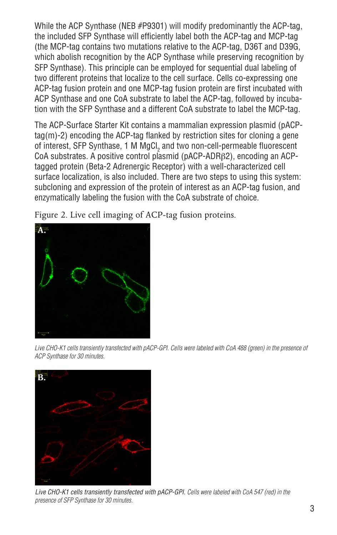While the ACP Synthase (NEB #P9301) will modify predominantly the ACP-tag, the included SFP Synthase will efficiently label both the ACP-tag and MCP-tag (the MCP-tag contains two mutations relative to the ACP-tag, D36T and D39G, which abolish recognition by the ACP Synthase while preserving recognition by SFP Synthase). This principle can be employed for sequential dual labeling of two different proteins that localize to the cell surface. Cells co-expressing one ACP-tag fusion protein and one MCP-tag fusion protein are first incubated with ACP Synthase and one CoA substrate to label the ACP-tag, followed by incubation with the SFP Synthase and a different CoA substrate to label the MCP-tag.

The ACP-Surface Starter Kit contains a mammalian expression plasmid (pACPtag(m)-2) encoding the ACP-tag flanked by restriction sites for cloning a gene of interest, SFP Synthase, 1 M MgCl $_2$  and two non-cell-permeable fluorescent CoA substrates. A positive control plasmid (pACP-ADRβ2), encoding an ACPtagged protein (Beta-2 Adrenergic Receptor) with a well-characterized cell surface localization, is also included. There are two steps to using this system: subcloning and expression of the protein of interest as an ACP-tag fusion, and enzymatically labeling the fusion with the CoA substrate of choice.

Figure 2. Live cell imaging of ACP-tag fusion proteins.



Live CHO-K1 cells transiently transfected with pACP-GPI. Cells were labeled with CoA 488 (green) in the presence of *ACP Synthase for 30 minutes.*



*Live CHO-K1 cells transiently transfected with pACP-GPI. Cells were labeled with CoA 547 (red) in the presence of SFP Synthase for 30 minutes.*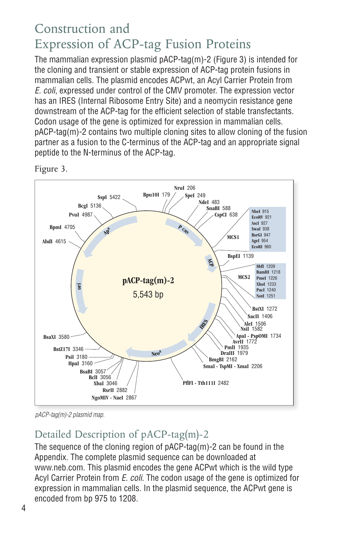## Construction and Expression of ACP-tag Fusion Proteins

The mammalian expression plasmid pACP-tag(m)-2 (Figure 3) is intended for the cloning and transient or stable expression of ACP-tag protein fusions in mammalian cells. The plasmid encodes ACPwt, an Acyl Carrier Protein from *E. coli*, expressed under control of the CMV promoter. The expression vector has an IRES (Internal Ribosome Entry Site) and a neomycin resistance gene downstream of the ACP-tag for the efficient selection of stable transfectants. Codon usage of the gene is optimized for expression in mammalian cells. pACP-tag(m)-2 contains two multiple cloning sites to allow cloning of the fusion partner as a fusion to the C-terminus of the ACP-tag and an appropriate signal peptide to the N-terminus of the ACP-tag.



Figure 3.

*pACP-tag(m)-2 plasmid map.*

## Detailed Description of pACP-tag(m)-2

The sequence of the cloning region of pACP-tag(m)-2 can be found in the Appendix. The complete plasmid sequence can be downloaded at www.neb.com. This plasmid encodes the gene ACPwt which is the wild type Acyl Carrier Protein from *E. coli*. The codon usage of the gene is optimized for expression in mammalian cells. In the plasmid sequence, the ACPwt gene is encoded from bp 975 to 1208.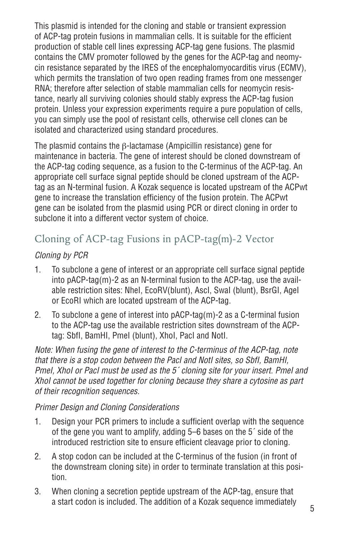This plasmid is intended for the cloning and stable or transient expression of ACP-tag protein fusions in mammalian cells. It is suitable for the efficient production of stable cell lines expressing ACP-tag gene fusions. The plasmid contains the CMV promoter followed by the genes for the ACP-tag and neomycin resistance separated by the IRES of the encephalomyocarditis virus (ECMV), which permits the translation of two open reading frames from one messenger RNA; therefore after selection of stable mammalian cells for neomycin resistance, nearly all surviving colonies should stably express the ACP-tag fusion protein. Unless your expression experiments require a pure population of cells, you can simply use the pool of resistant cells, otherwise cell clones can be isolated and characterized using standard procedures.

The plasmid contains the β-lactamase (Ampicillin resistance) gene for maintenance in bacteria. The gene of interest should be cloned downstream of the ACP-tag coding sequence, as a fusion to the C-terminus of the ACP-tag. An appropriate cell surface signal peptide should be cloned upstream of the ACPtag as an N-terminal fusion. A Kozak sequence is located upstream of the ACPwt gene to increase the translation efficiency of the fusion protein. The ACPwt gene can be isolated from the plasmid using PCR or direct cloning in order to subclone it into a different vector system of choice.

### Cloning of ACP-tag Fusions in pACP-tag(m)-2 Vector

### *Cloning by PCR*

- 1. To subclone a gene of interest or an appropriate cell surface signal peptide into pACP-tag(m)-2 as an N-terminal fusion to the ACP-tag, use the available restriction sites: NheI, EcoRV(blunt), AscI, SwaI (blunt), BsrGI, AgeI or EcoRI which are located upstream of the ACP-tag.
- 2. To subclone a gene of interest into pACP-tag(m)-2 as a C-terminal fusion to the ACP-tag use the available restriction sites downstream of the ACPtag: SbfI, BamHI, PmeI (blunt), XhoI, PacI and NotI.

*Note: When fusing the gene of interest to the C-terminus of the ACP-tag, note that there is a stop codon between the PacI and NotI sites, so SbfI, BamHI, PmeI, XhoI or PacI must be used as the 5´ cloning site for your insert. PmeI and XhoI cannot be used together for cloning because they share a cytosine as part of their recognition sequences.*

#### *Primer Design and Cloning Considerations*

- 1. Design your PCR primers to include a sufficient overlap with the sequence of the gene you want to amplify, adding 5–6 bases on the 5´ side of the introduced restriction site to ensure efficient cleavage prior to cloning.
- 2. A stop codon can be included at the C-terminus of the fusion (in front of the downstream cloning site) in order to terminate translation at this position.
- 3. When cloning a secretion peptide upstream of the ACP-tag, ensure that a start codon is included. The addition of a Kozak sequence immediately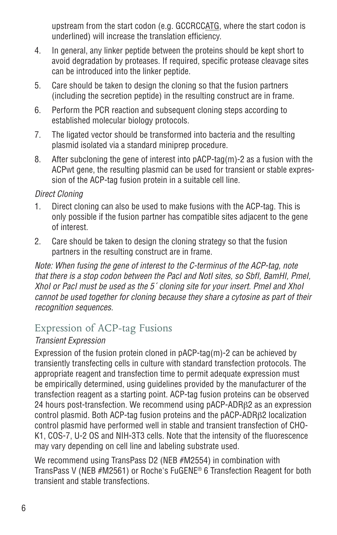upstream from the start codon (e.g. GCCRCCATG, where the start codon is underlined) will increase the translation efficiency.

- 4. In general, any linker peptide between the proteins should be kept short to avoid degradation by proteases. If required, specific protease cleavage sites can be introduced into the linker peptide.
- 5. Care should be taken to design the cloning so that the fusion partners (including the secretion peptide) in the resulting construct are in frame.
- 6. Perform the PCR reaction and subsequent cloning steps according to established molecular biology protocols.
- 7. The ligated vector should be transformed into bacteria and the resulting plasmid isolated via a standard miniprep procedure.
- 8. After subcloning the gene of interest into pACP-tag(m)-2 as a fusion with the ACPwt gene, the resulting plasmid can be used for transient or stable expression of the ACP-tag fusion protein in a suitable cell line.

#### *Direct Cloning*

- 1. Direct cloning can also be used to make fusions with the ACP-tag. This is only possible if the fusion partner has compatible sites adjacent to the gene of interest.
- 2. Care should be taken to design the cloning strategy so that the fusion partners in the resulting construct are in frame.

*Note: When fusing the gene of interest to the C-terminus of the ACP-tag, note that there is a stop codon between the PacI and NotI sites, so SbfI, BamHI, PmeI, XhoI or PacI must be used as the 5´ cloning site for your insert. PmeI and XhoI cannot be used together for cloning because they share a cytosine as part of their recognition sequences.*

### Expression of ACP-tag Fusions

### *Transient Expression*

Expression of the fusion protein cloned in pACP-tag(m)-2 can be achieved by transiently transfecting cells in culture with standard transfection protocols. The appropriate reagent and transfection time to permit adequate expression must be empirically determined, using guidelines provided by the manufacturer of the transfection reagent as a starting point. ACP-tag fusion proteins can be observed 24 hours post-transfection. We recommend using pACP-ADRB2 as an expression control plasmid. Both ACP-tag fusion proteins and the pACP-ADRβ2 localization control plasmid have performed well in stable and transient transfection of CHO-K1, COS-7, U-2 OS and NIH-3T3 cells. Note that the intensity of the fluorescence may vary depending on cell line and labeling substrate used.

We recommend using TransPass D2 (NEB #M2554) in combination with TransPass V (NEB #M2561) or Roche's FuGENE® 6 Transfection Reagent for both transient and stable transfections.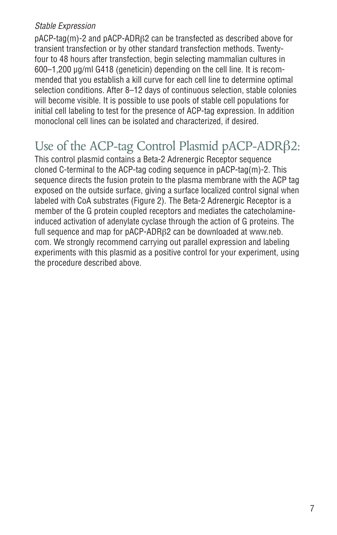#### *Stable Expression*

pACP-tag(m)-2 and pACP-ADRβ2 can be transfected as described above for transient transfection or by other standard transfection methods. Twentyfour to 48 hours after transfection, begin selecting mammalian cultures in 600–1,200 µg/ml G418 (geneticin) depending on the cell line. It is recommended that you establish a kill curve for each cell line to determine optimal selection conditions. After 8–12 days of continuous selection, stable colonies will become visible. It is possible to use pools of stable cell populations for initial cell labeling to test for the presence of ACP-tag expression. In addition monoclonal cell lines can be isolated and characterized, if desired.

## Use of the ACP-tag Control Plasmid pACP-ADRβ2:

This control plasmid contains a Beta-2 Adrenergic Receptor sequence cloned C-terminal to the ACP-tag coding sequence in pACP-tag(m)-2. This sequence directs the fusion protein to the plasma membrane with the ACP tag exposed on the outside surface, giving a surface localized control signal when labeled with CoA substrates (Figure 2). The Beta-2 Adrenergic Receptor is a member of the G protein coupled receptors and mediates the catecholamineinduced activation of adenylate cyclase through the action of G proteins. The full sequence and map for pACP-ADRβ2 can be downloaded at www.neb. com. We strongly recommend carrying out parallel expression and labeling experiments with this plasmid as a positive control for your experiment, using the procedure described above.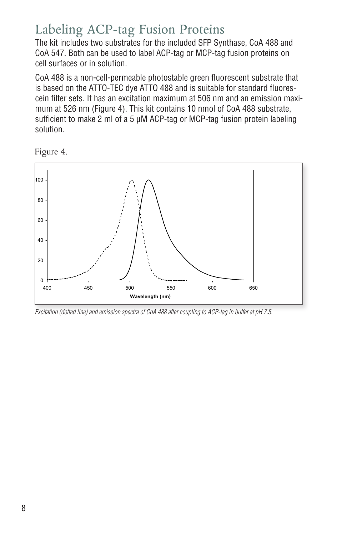## Labeling ACP-tag Fusion Proteins

The kit includes two substrates for the included SFP Synthase, CoA 488 and CoA 547. Both can be used to label ACP-tag or MCP-tag fusion proteins on cell surfaces or in solution.

CoA 488 is a non-cell-permeable photostable green fluorescent substrate that is based on the ATTO-TEC dye ATTO 488 and is suitable for standard fluorescein filter sets. It has an excitation maximum at 506 nm and an emission maximum at 526 nm (Figure 4). This kit contains 10 nmol of CoA 488 substrate, sufficient to make 2 ml of a 5 µM ACP-tag or MCP-tag fusion protein labeling solution.

Figure 4.



*Excitation (dotted line) and emission spectra of CoA 488 after coupling to ACP-tag in buffer at pH 7.5.*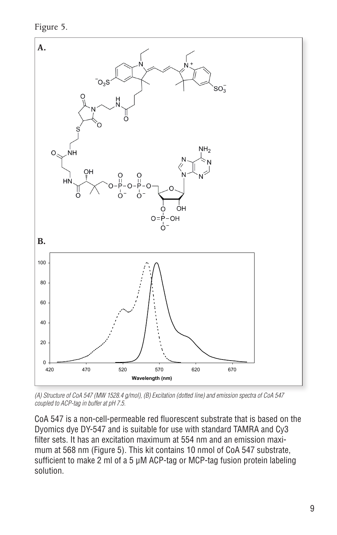Figure 5.



*(A) Structure of CoA 547 (MW 1528.4 g/mol), (B) Excitation (dotted line) and emission spectra of CoA 547 coupled to ACP-tag in buffer at pH 7.5.*

CoA 547 is a non-cell-permeable red fluorescent substrate that is based on the Dyomics dye DY-547 and is suitable for use with standard TAMRA and Cy3 filter sets. It has an excitation maximum at 554 nm and an emission maximum at 568 nm (Figure 5). This kit contains 10 nmol of CoA 547 substrate, sufficient to make 2 ml of a 5 µM ACP-tag or MCP-tag fusion protein labeling solution.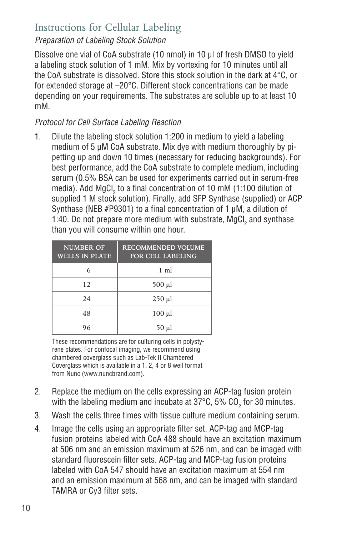### Instructions for Cellular Labeling

### *Preparation of Labeling Stock Solution*

Dissolve one vial of CoA substrate (10 nmol) in 10 µl of fresh DMSO to yield a labeling stock solution of 1 mM. Mix by vortexing for 10 minutes until all the CoA substrate is dissolved. Store this stock solution in the dark at 4°C, or for extended storage at –20°C. Different stock concentrations can be made depending on your requirements. The substrates are soluble up to at least 10 mM.

### *Protocol for Cell Surface Labeling Reaction*

1. Dilute the labeling stock solution 1:200 in medium to yield a labeling medium of 5 µM CoA substrate. Mix dye with medium thoroughly by pipetting up and down 10 times (necessary for reducing backgrounds). For best performance, add the CoA substrate to complete medium, including serum (0.5% BSA can be used for experiments carried out in serum-free media). Add MgCl $_2$  to a final concentration of 10 mM (1:100 dilution of supplied 1 M stock solution). Finally, add SFP Synthase (supplied) or ACP Synthase (NEB #P9301) to a final concentration of 1 uM, a dilution of 1:40. Do not prepare more medium with substrate, MgCl<sub>2</sub> and synthase than you will consume within one hour.

| <b>NUMBER OF</b><br><b>WELLS IN PLATE</b> | <b>RECOMMENDED VOLUME</b><br><b>FOR CELL LABELING</b> |
|-------------------------------------------|-------------------------------------------------------|
| 6                                         | $1 \text{ ml}$                                        |
| 12                                        | 500 µl                                                |
| 24                                        | $250 \mu l$                                           |
| 48                                        | $100 \mu l$                                           |
| 96                                        | 50 µl                                                 |

These recommendations are for culturing cells in polystyrene plates. For confocal imaging, we recommend using chambered coverglass such as Lab-Tek II Chambered Coverglass which is available in a 1, 2, 4 or 8 well format from Nunc (www.nuncbrand.com).

- 2. Replace the medium on the cells expressing an ACP-tag fusion protein with the labeling medium and incubate at 37°C, 5% CO $_2^{\,}$  for 30 minutes.
- 3. Wash the cells three times with tissue culture medium containing serum.
- 4. Image the cells using an appropriate filter set. ACP-tag and MCP-tag fusion proteins labeled with CoA 488 should have an excitation maximum at 506 nm and an emission maximum at 526 nm, and can be imaged with standard fluorescein filter sets. ACP-tag and MCP-tag fusion proteins labeled with CoA 547 should have an excitation maximum at 554 nm and an emission maximum at 568 nm, and can be imaged with standard TAMRA or Cy3 filter sets.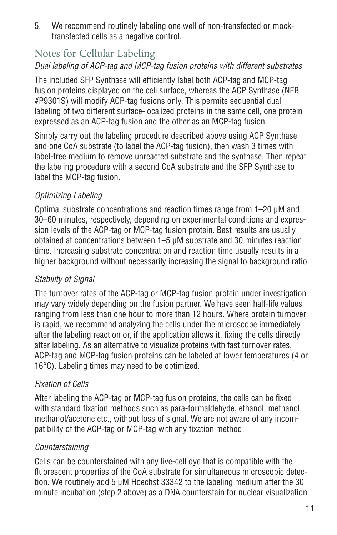5. We recommend routinely labeling one well of non-transfected or mocktransfected cells as a negative control.

### Notes for Cellular Labeling

### *Dual labeling of ACP-tag and MCP-tag fusion proteins with different substrates*

The included SFP Synthase will efficiently label both ACP-tag and MCP-tag fusion proteins displayed on the cell surface, whereas the ACP Synthase (NEB #P9301S) will modify ACP-tag fusions only. This permits sequential dual labeling of two different surface-localized proteins in the same cell, one protein expressed as an ACP-tag fusion and the other as an MCP-tag fusion.

Simply carry out the labeling procedure described above using ACP Synthase and one CoA substrate (to label the ACP-tag fusion), then wash 3 times with label-free medium to remove unreacted substrate and the synthase. Then repeat the labeling procedure with a second CoA substrate and the SFP Synthase to label the MCP-tag fusion.

### *Optimizing Labeling*

Optimal substrate concentrations and reaction times range from 1–20 µM and 30–60 minutes, respectively, depending on experimental conditions and expression levels of the ACP-tag or MCP-tag fusion protein. Best results are usually obtained at concentrations between 1–5 µM substrate and 30 minutes reaction time. Increasing substrate concentration and reaction time usually results in a higher background without necessarily increasing the signal to background ratio.

### *Stability of Signal*

The turnover rates of the ACP-tag or MCP-tag fusion protein under investigation may vary widely depending on the fusion partner. We have seen half-life values ranging from less than one hour to more than 12 hours. Where protein turnover is rapid, we recommend analyzing the cells under the microscope immediately after the labeling reaction or, if the application allows it, fixing the cells directly after labeling. As an alternative to visualize proteins with fast turnover rates, ACP-tag and MCP-tag fusion proteins can be labeled at lower temperatures (4 or 16°C). Labeling times may need to be optimized.

### *Fixation of Cells*

After labeling the ACP-tag or MCP-tag fusion proteins, the cells can be fixed with standard fixation methods such as para-formaldehyde, ethanol, methanol, methanol/acetone etc., without loss of signal. We are not aware of any incompatibility of the ACP-tag or MCP-tag with any fixation method.

### *Counterstaining*

Cells can be counterstained with any live-cell dye that is compatible with the fluorescent properties of the CoA substrate for simultaneous microscopic detection. We routinely add 5 µM Hoechst 33342 to the labeling medium after the 30 minute incubation (step 2 above) as a DNA counterstain for nuclear visualization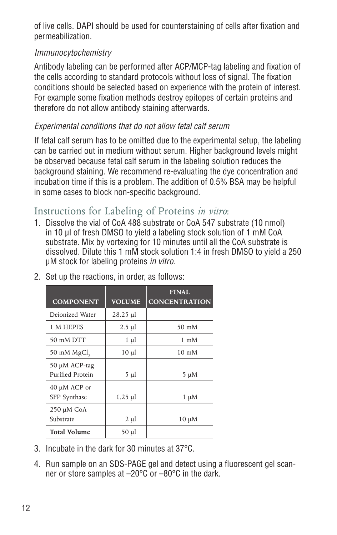of live cells. DAPI should be used for counterstaining of cells after fixation and permeabilization.

### *Immunocytochemistry*

Antibody labeling can be performed after ACP/MCP-tag labeling and fixation of the cells according to standard protocols without loss of signal. The fixation conditions should be selected based on experience with the protein of interest. For example some fixation methods destroy epitopes of certain proteins and therefore do not allow antibody staining afterwards.

### *Experimental conditions that do not allow fetal calf serum*

If fetal calf serum has to be omitted due to the experimental setup, the labeling can be carried out in medium without serum. Higher background levels might be observed because fetal calf serum in the labeling solution reduces the background staining. We recommend re-evaluating the dye concentration and incubation time if this is a problem. The addition of 0.5% BSA may be helpful in some cases to block non-specific background.

### Instructions for Labeling of Proteins *in vitro*:

1. Dissolve the vial of CoA 488 substrate or CoA 547 substrate (10 nmol) in 10 μl of fresh DMSO to yield a labeling stock solution of 1 mM CoA substrate. Mix by vortexing for 10 minutes until all the CoA substrate is dissolved. Dilute this 1 mM stock solution 1:4 in fresh DMSO to yield a 250 µM stock for labeling proteins *in vitro*.

| <b>COMPONENT</b>                  | <b>VOLUME</b> | <b>FINAL</b><br><b>CONCENTRATION</b> |
|-----------------------------------|---------------|--------------------------------------|
| Deionized Water                   | $28.25 \mu$ l |                                      |
| 1 M HEPES                         | $2.5 \mu$     | $50 \text{ m}$ M                     |
| 50 mM DTT                         | $1 \mu l$     | $1 \text{ mM}$                       |
| 50 mM MgCl,                       | $10 \mu l$    | $10 \text{ mM}$                      |
| 50 μM ACP-tag<br>Purified Protein | 5 µl          | 5 μM                                 |
| 40 μM ACP or<br>SFP Synthase      | $1.25 \mu$    | $1 \mu M$                            |
| 250 µM CoA<br>Substrate           | $2 \mu l$     | $10 \mu M$                           |
| <b>Total Volume</b>               | $50 \mu l$    |                                      |

2. Set up the reactions, in order, as follows:

- 3. Incubate in the dark for 30 minutes at 37°C.
- 4. Run sample on an SDS-PAGE gel and detect using a fluorescent gel scanner or store samples at –20°C or –80°C in the dark.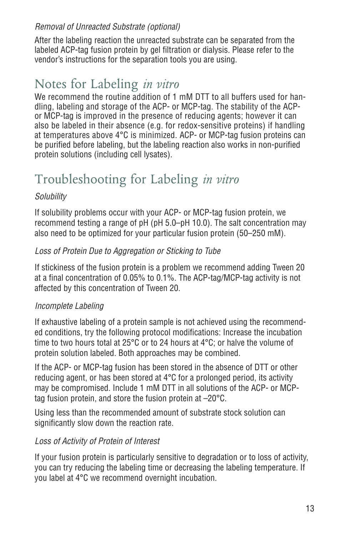### *Removal of Unreacted Substrate (optional)*

After the labeling reaction the unreacted substrate can be separated from the labeled ACP-tag fusion protein by gel filtration or dialysis. Please refer to the vendor's instructions for the separation tools you are using.

## Notes for Labeling *in vitro*

We recommend the routine addition of 1 mM DTT to all buffers used for handling, labeling and storage of the ACP- or MCP-tag. The stability of the ACPor MCP-tag is improved in the presence of reducing agents; however it can also be labeled in their absence (e.g. for redox-sensitive proteins) if handling at temperatures above 4°C is minimized. ACP- or MCP-tag fusion proteins can be purified before labeling, but the labeling reaction also works in non-purified protein solutions (including cell lysates).

## Troubleshooting for Labeling *in vitro*

#### *Solubility*

If solubility problems occur with your ACP- or MCP-tag fusion protein, we recommend testing a range of pH (pH 5.0–pH 10.0). The salt concentration may also need to be optimized for your particular fusion protein (50–250 mM).

### *Loss of Protein Due to Aggregation or Sticking to Tube*

If stickiness of the fusion protein is a problem we recommend adding Tween 20 at a final concentration of 0.05% to 0.1%. The ACP-tag/MCP-tag activity is not affected by this concentration of Tween 20.

### *Incomplete Labeling*

If exhaustive labeling of a protein sample is not achieved using the recommended conditions, try the following protocol modifications: Increase the incubation time to two hours total at 25°C or to 24 hours at 4°C; or halve the volume of protein solution labeled. Both approaches may be combined.

If the ACP- or MCP-tag fusion has been stored in the absence of DTT or other reducing agent, or has been stored at 4°C for a prolonged period, its activity may be compromised. Include 1 mM DTT in all solutions of the ACP- or MCPtag fusion protein, and store the fusion protein at –20°C.

Using less than the recommended amount of substrate stock solution can significantly slow down the reaction rate.

#### *Loss of Activity of Protein of Interest*

If your fusion protein is particularly sensitive to degradation or to loss of activity, you can try reducing the labeling time or decreasing the labeling temperature. If you label at 4°C we recommend overnight incubation.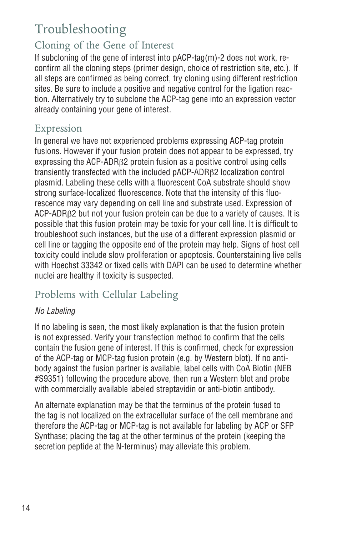## Troubleshooting

### Cloning of the Gene of Interest

If subcloning of the gene of interest into pACP-tag(m)-2 does not work, reconfirm all the cloning steps (primer design, choice of restriction site, etc.). If all steps are confirmed as being correct, try cloning using different restriction sites. Be sure to include a positive and negative control for the ligation reaction. Alternatively try to subclone the ACP-tag gene into an expression vector already containing your gene of interest.

### Expression

In general we have not experienced problems expressing ACP-tag protein fusions. However if your fusion protein does not appear to be expressed, try expressing the ACP-ADRβ2 protein fusion as a positive control using cells transiently transfected with the included pACP-ADRβ2 localization control plasmid. Labeling these cells with a fluorescent CoA substrate should show strong surface-localized fluorescence. Note that the intensity of this fluorescence may vary depending on cell line and substrate used. Expression of ACP-ADRβ2 but not your fusion protein can be due to a variety of causes. It is possible that this fusion protein may be toxic for your cell line. It is difficult to troubleshoot such instances, but the use of a different expression plasmid or cell line or tagging the opposite end of the protein may help. Signs of host cell toxicity could include slow proliferation or apoptosis. Counterstaining live cells with Hoechst 33342 or fixed cells with DAPI can be used to determine whether nuclei are healthy if toxicity is suspected.

## Problems with Cellular Labeling

### *No Labeling*

If no labeling is seen, the most likely explanation is that the fusion protein is not expressed. Verify your transfection method to confirm that the cells contain the fusion gene of interest. If this is confirmed, check for expression of the ACP-tag or MCP-tag fusion protein (e.g. by Western blot). If no antibody against the fusion partner is available, label cells with CoA Biotin (NEB #S9351) following the procedure above, then run a Western blot and probe with commercially available labeled streptavidin or anti-biotin antibody.

An alternate explanation may be that the terminus of the protein fused to the tag is not localized on the extracellular surface of the cell membrane and therefore the ACP-tag or MCP-tag is not available for labeling by ACP or SFP Synthase; placing the tag at the other terminus of the protein (keeping the secretion peptide at the N-terminus) may alleviate this problem.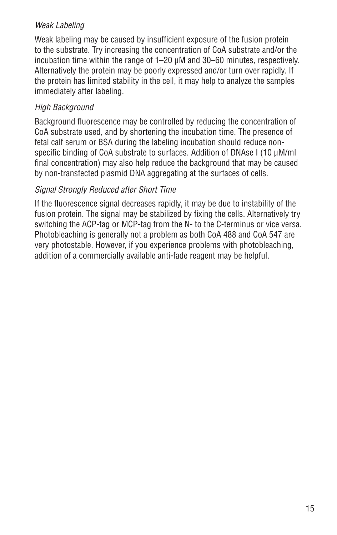### *Weak Labeling*

Weak labeling may be caused by insufficient exposure of the fusion protein to the substrate. Try increasing the concentration of CoA substrate and/or the incubation time within the range of 1–20 µM and 30–60 minutes, respectively. Alternatively the protein may be poorly expressed and/or turn over rapidly. If the protein has limited stability in the cell, it may help to analyze the samples immediately after labeling.

### *High Background*

Background fluorescence may be controlled by reducing the concentration of CoA substrate used, and by shortening the incubation time. The presence of fetal calf serum or BSA during the labeling incubation should reduce nonspecific binding of CoA substrate to surfaces. Addition of DNAse I (10 μM/ml final concentration) may also help reduce the background that may be caused by non-transfected plasmid DNA aggregating at the surfaces of cells.

#### *Signal Strongly Reduced after Short Time*

If the fluorescence signal decreases rapidly, it may be due to instability of the fusion protein. The signal may be stabilized by fixing the cells. Alternatively try switching the ACP-tag or MCP-tag from the N- to the C-terminus or vice versa. Photobleaching is generally not a problem as both CoA 488 and CoA 547 are very photostable. However, if you experience problems with photobleaching, addition of a commercially available anti-fade reagent may be helpful.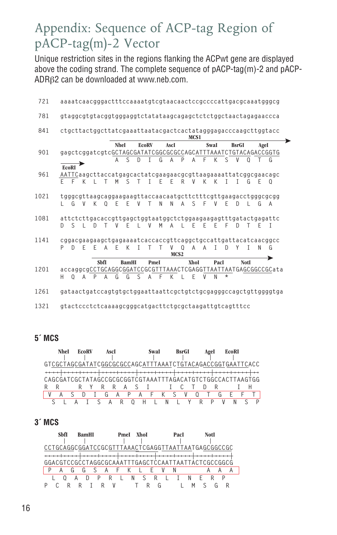## Appendix: Sequence of ACP-tag Region of pACP-tag(m)-2 Vector

Unique restriction sites in the regions flanking the ACPwt gene are displayed above the coding strand. The complete sequence of pACP-tag(m)-2 and pACP-ADRβ2 can be downloaded at www.neb.com.

| 721  |                                         |                                  |                                                             |                           |                            | aaaatcaacgggactttccaaaatgtcgtaacaactccgccccattgacgcaaatgggcg                                        |                                                               |
|------|-----------------------------------------|----------------------------------|-------------------------------------------------------------|---------------------------|----------------------------|-----------------------------------------------------------------------------------------------------|---------------------------------------------------------------|
| 781  |                                         |                                  |                                                             |                           |                            | gtaggcgtgtacggtgggaggtctatataagcagagctctctggctaactagagaaccca                                        |                                                               |
| 841  |                                         |                                  |                                                             |                           | MCS <sub>1</sub>           | ctgcttactggcttatcgaaattaatacgactcactatagggagacccaagcttggtacc                                        |                                                               |
| 901  |                                         | A                                | <b>Nhel</b><br><b>EcoRV</b><br><sub>S</sub><br><sup>D</sup> | AscI<br>T<br>G<br>A       | F<br>A<br>P                | <b>BsrGI</b><br>SwaI<br>gagctcggatcgtcGCTAGCGATATCGGCGCGCCAGCATTTAAATCTGTACAGACCGGTG<br>K<br>S<br>V | AgeI<br>G<br>Т                                                |
| 961  | <b>EcoRI</b><br>F.<br>F<br>$\mathsf{K}$ | M <sub>1</sub><br>$\mathsf{I}$ T | $S$ T                                                       | F<br>$\mathbf{I}$<br>F    | $\mathsf{R}$<br>V<br>K     | AATTCaagcttaccatgagcactatcgaagaacgcgttaagaaaattatcggcgaacagc<br>К<br>$\mathbb T$<br>$\mathsf{I}$    | G<br>F<br>$\overline{0}$                                      |
| 1021 | $L$ G V                                 |                                  |                                                             |                           | K O E E V T N N A S F V    | tgggcgttaagcaggaagaagttaccaacaatgcttctttcgttgaagacctgggcgcgg<br>F<br>D                              | $\mathbf{L}$<br>G<br>A                                        |
| 1081 | $S$ $I$ $D$ $T$<br>D.                   |                                  |                                                             |                           | VELVMALEEE                 | attctcttgacaccgttgagctggtaatggctctggaagaagagtttgatactgagattc<br>- F<br><sup>n</sup>                 | $\top$<br>F T                                                 |
| 1141 |                                         | DEFAFK                           | $\mathbf{I}$                                                | $V$ 0<br>$\top$<br>$\top$ | A<br>A<br>MCS <sub>2</sub> | cggacgaagaagctgagaaaatcaccaccgttcaggctgccattgattacatcaacggcc<br>$\Box$<br>$\mathbf{I}$<br>Υ         | $\mathsf{L}$<br>N<br>G                                        |
| 1201 | 0 A<br>H.                               | <b>SbfI</b><br>G<br>PA           | <b>BamHI</b><br>G                                           | PmeI<br>S A F             | <b>XhoI</b><br>K L E<br>V  | PacI<br>N<br>$^\star$                                                                               | NotI                                                          |
| 1261 |                                         |                                  |                                                             |                           |                            |                                                                                                     | gataactgatccagtgtgctggaattaattcgctgtctgcgagggccagctgttggggtga |
| 1321 |                                         |                                  |                                                             |                           |                            | gtactccctctcaaaagcgggcatgacttctgcgctaagattgtcagtttcc                                                |                                                               |

#### **5´ MCS**



#### **3´ MCS**

| Shft | <b>BamHI</b> | XhoI<br>PmeI | PacI | NotI |
|------|--------------|--------------|------|------|
|      |              |              |      |      |
|      |              |              |      |      |
|      |              |              |      |      |
|      |              |              |      |      |
|      |              |              |      |      |
|      | R<br>P       | Ν            | R    |      |
|      |              |              |      |      |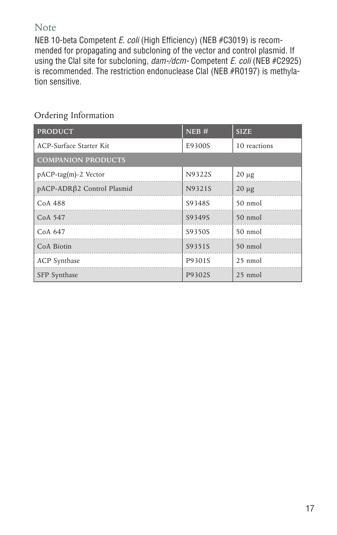### Note

NEB 10-beta Competent *E. coli* (High Efficiency) (NEB #C3019) is recommended for propagating and subcloning of the vector and control plasmid. If using the ClaI site for subcloning, *dam-/dcm-* Competent *E. coli* (NEB #C2925) is recommended. The restriction endonuclease ClaI (NEB #R0197) is methylation sensitive.

| <b>PRODUCT</b>             | NEB#   | <b>SIZE</b>       |  |  |  |
|----------------------------|--------|-------------------|--|--|--|
| ACP-Surface Starter Kit    | E9300S | 10 reactions      |  |  |  |
| <b>COMPANION PRODUCTS</b>  |        |                   |  |  |  |
| pACP-tag(m)-2 Vector       | N9322S | $20 \mu$ g        |  |  |  |
| pACP-ADRβ2 Control Plasmid | N9321S | $20 \mu g$        |  |  |  |
| CoA 488                    | S9348S | 50 nmol           |  |  |  |
| CoA 547                    | S9349S | $50 \text{ nmol}$ |  |  |  |
| CoA 647                    | S9350S | $50 \text{ nmol}$ |  |  |  |
| CoA Biotin                 | S9351S | 50 nmol           |  |  |  |
| <b>ACP</b> Synthase        | P9301S | $25 \text{ nmol}$ |  |  |  |
| SFP Synthase               | P9302S | 25 nmol           |  |  |  |

### Ordering Information